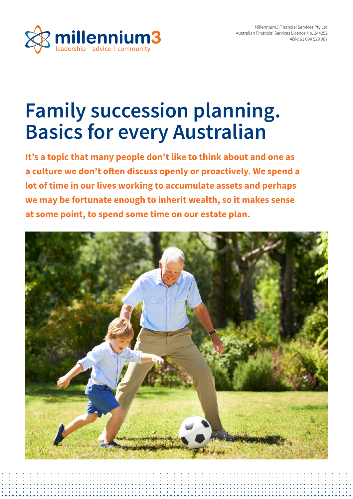

# **Family succession planning. Basics for every Australian**

**It's a topic that many people don't like to think about and one as a culture we don't often discuss openly or proactively. We spend a lot of time in our lives working to accumulate assets and perhaps we may be fortunate enough to inherit wealth, so it makes sense at some point, to spend some time on our estate plan.**